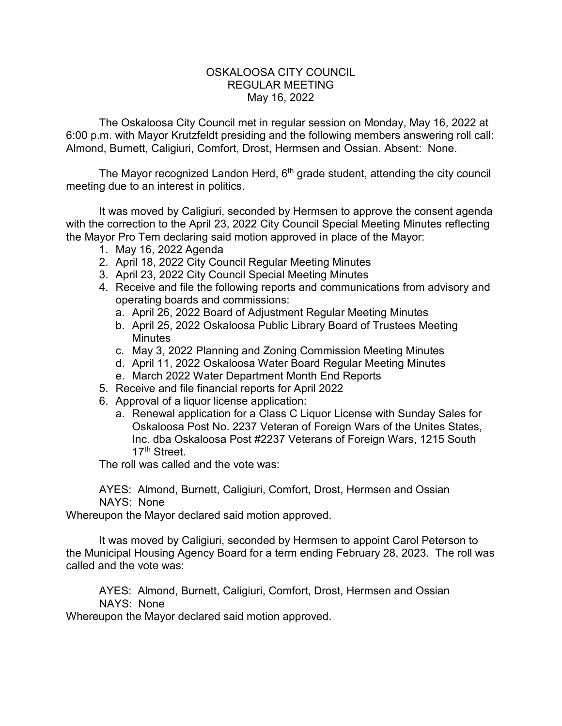## OSKALOOSA CITY COUNCIL REGULAR MEETING May 16, 2022

The Oskaloosa City Council met in regular session on Monday, May 16, 2022 at 6:00 p.m. with Mayor Krutzfeldt presiding and the following members answering roll call: Almond, Burnett, Caligiuri, Comfort, Drost, Hermsen and Ossian. Absent: None.

The Mayor recognized Landon Herd,  $6<sup>th</sup>$  grade student, attending the city council meeting due to an interest in politics.

It was moved by Caligiuri, seconded by Hermsen to approve the consent agenda with the correction to the April 23, 2022 City Council Special Meeting Minutes reflecting the Mayor Pro Tem declaring said motion approved in place of the Mayor:

- 1. May 16, 2022 Agenda
- 2. April 18, 2022 City Council Regular Meeting Minutes
- 3. April 23, 2022 City Council Special Meeting Minutes
- 4. Receive and file the following reports and communications from advisory and operating boards and commissions:
	- a. April 26, 2022 Board of Adjustment Regular Meeting Minutes
	- b. April 25, 2022 Oskaloosa Public Library Board of Trustees Meeting **Minutes**
	- c. May 3, 2022 Planning and Zoning Commission Meeting Minutes
	- d. April 11, 2022 Oskaloosa Water Board Regular Meeting Minutes
	- e. March 2022 Water Department Month End Reports
- 5. Receive and file financial reports for April 2022
- 6. Approval of a liquor license application:
	- a. Renewal application for a Class C Liquor License with Sunday Sales for Oskaloosa Post No. 2237 Veteran of Foreign Wars of the Unites States, Inc. dba Oskaloosa Post #2237 Veterans of Foreign Wars, 1215 South 17th Street.

The roll was called and the vote was:

AYES: Almond, Burnett, Caligiuri, Comfort, Drost, Hermsen and Ossian NAYS: None

Whereupon the Mayor declared said motion approved.

It was moved by Caligiuri, seconded by Hermsen to appoint Carol Peterson to the Municipal Housing Agency Board for a term ending February 28, 2023. The roll was called and the vote was:

AYES: Almond, Burnett, Caligiuri, Comfort, Drost, Hermsen and Ossian NAYS: None

Whereupon the Mayor declared said motion approved.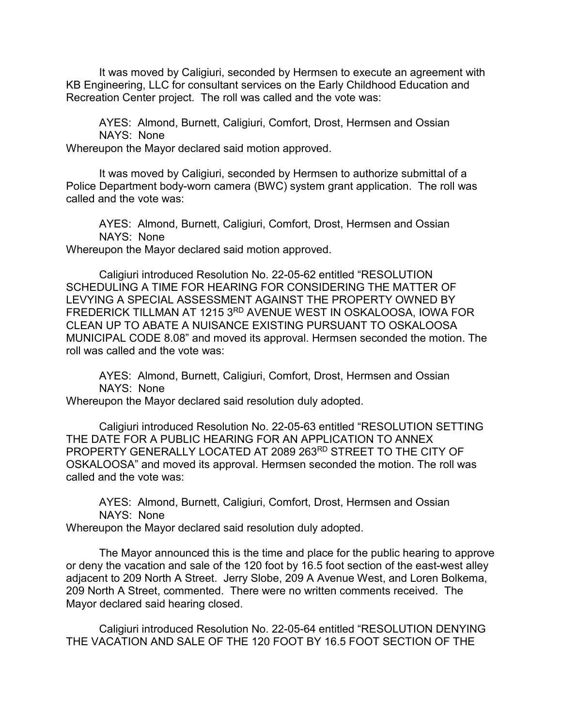It was moved by Caligiuri, seconded by Hermsen to execute an agreement with KB Engineering, LLC for consultant services on the Early Childhood Education and Recreation Center project. The roll was called and the vote was:

AYES: Almond, Burnett, Caligiuri, Comfort, Drost, Hermsen and Ossian NAYS: None

Whereupon the Mayor declared said motion approved.

It was moved by Caligiuri, seconded by Hermsen to authorize submittal of a Police Department body-worn camera (BWC) system grant application. The roll was called and the vote was:

AYES: Almond, Burnett, Caligiuri, Comfort, Drost, Hermsen and Ossian NAYS: None Whereupon the Mayor declared said motion approved.

Caligiuri introduced Resolution No. 22-05-62 entitled "RESOLUTION SCHEDULING A TIME FOR HEARING FOR CONSIDERING THE MATTER OF LEVYING A SPECIAL ASSESSMENT AGAINST THE PROPERTY OWNED BY FREDERICK TILLMAN AT 1215 3RD AVENUE WEST IN OSKALOOSA, IOWA FOR CLEAN UP TO ABATE A NUISANCE EXISTING PURSUANT TO OSKALOOSA MUNICIPAL CODE 8.08" and moved its approval. Hermsen seconded the motion. The roll was called and the vote was:

AYES: Almond, Burnett, Caligiuri, Comfort, Drost, Hermsen and Ossian NAYS: None

Whereupon the Mayor declared said resolution duly adopted.

Caligiuri introduced Resolution No. 22-05-63 entitled "RESOLUTION SETTING THE DATE FOR A PUBLIC HEARING FOR AN APPLICATION TO ANNEX PROPERTY GENERALLY LOCATED AT 2089 263RD STREET TO THE CITY OF OSKALOOSA" and moved its approval. Hermsen seconded the motion. The roll was called and the vote was:

AYES: Almond, Burnett, Caligiuri, Comfort, Drost, Hermsen and Ossian NAYS: None

Whereupon the Mayor declared said resolution duly adopted.

The Mayor announced this is the time and place for the public hearing to approve or deny the vacation and sale of the 120 foot by 16.5 foot section of the east-west alley adjacent to 209 North A Street. Jerry Slobe, 209 A Avenue West, and Loren Bolkema, 209 North A Street, commented. There were no written comments received. The Mayor declared said hearing closed.

Caligiuri introduced Resolution No. 22-05-64 entitled "RESOLUTION DENYING THE VACATION AND SALE OF THE 120 FOOT BY 16.5 FOOT SECTION OF THE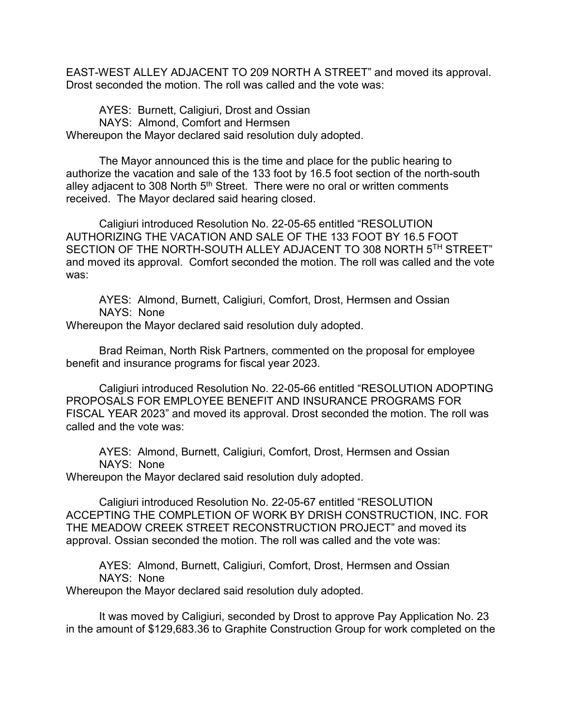EAST-WEST ALLEY ADJACENT TO 209 NORTH A STREET" and moved its approval. Drost seconded the motion. The roll was called and the vote was:

AYES: Burnett, Caligiuri, Drost and Ossian NAYS: Almond, Comfort and Hermsen Whereupon the Mayor declared said resolution duly adopted.

The Mayor announced this is the time and place for the public hearing to authorize the vacation and sale of the 133 foot by 16.5 foot section of the north-south alley adjacent to 308 North  $5<sup>th</sup>$  Street. There were no oral or written comments received. The Mayor declared said hearing closed.

Caligiuri introduced Resolution No. 22-05-65 entitled "RESOLUTION AUTHORIZING THE VACATION AND SALE OF THE 133 FOOT BY 16.5 FOOT SECTION OF THE NORTH-SOUTH ALLEY ADJACENT TO 308 NORTH 5TH STREET" and moved its approval. Comfort seconded the motion. The roll was called and the vote was:

AYES: Almond, Burnett, Caligiuri, Comfort, Drost, Hermsen and Ossian NAYS: None

Whereupon the Mayor declared said resolution duly adopted.

Brad Reiman, North Risk Partners, commented on the proposal for employee benefit and insurance programs for fiscal year 2023.

Caligiuri introduced Resolution No. 22-05-66 entitled "RESOLUTION ADOPTING PROPOSALS FOR EMPLOYEE BENEFIT AND INSURANCE PROGRAMS FOR FISCAL YEAR 2023" and moved its approval. Drost seconded the motion. The roll was called and the vote was:

AYES: Almond, Burnett, Caligiuri, Comfort, Drost, Hermsen and Ossian NAYS: None

Whereupon the Mayor declared said resolution duly adopted.

Caligiuri introduced Resolution No. 22-05-67 entitled "RESOLUTION ACCEPTING THE COMPLETION OF WORK BY DRISH CONSTRUCTION, INC. FOR THE MEADOW CREEK STREET RECONSTRUCTION PROJECT" and moved its approval. Ossian seconded the motion. The roll was called and the vote was:

AYES: Almond, Burnett, Caligiuri, Comfort, Drost, Hermsen and Ossian NAYS: None

Whereupon the Mayor declared said resolution duly adopted.

It was moved by Caligiuri, seconded by Drost to approve Pay Application No. 23 in the amount of \$129,683.36 to Graphite Construction Group for work completed on the